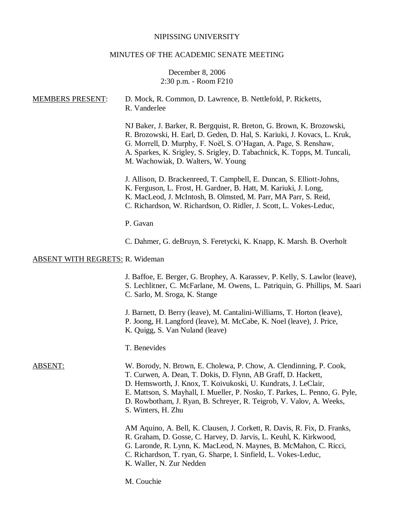# NIPISSING UNIVERSITY

# MINUTES OF THE ACADEMIC SENATE MEETING

# December 8, 2006 2:30 p.m. - Room F210

| <b>MEMBERS PRESENT:</b>                | D. Mock, R. Common, D. Lawrence, B. Nettlefold, P. Ricketts,<br>R. Vanderlee                                                                                                                                                                                                                                                                                                      |
|----------------------------------------|-----------------------------------------------------------------------------------------------------------------------------------------------------------------------------------------------------------------------------------------------------------------------------------------------------------------------------------------------------------------------------------|
|                                        | NJ Baker, J. Barker, R. Bergquist, R. Breton, G. Brown, K. Brozowski,<br>R. Brozowski, H. Earl, D. Geden, D. Hal, S. Kariuki, J. Kovacs, L. Kruk,<br>G. Morrell, D. Murphy, F. Noël, S. O'Hagan, A. Page, S. Renshaw,<br>A. Sparkes, K. Srigley, S. Srigley, D. Tabachnick, K. Topps, M. Tuncali,<br>M. Wachowiak, D. Walters, W. Young                                           |
|                                        | J. Allison, D. Brackenreed, T. Campbell, E. Duncan, S. Elliott-Johns,<br>K. Ferguson, L. Frost, H. Gardner, B. Hatt, M. Kariuki, J. Long,<br>K. MacLeod, J. McIntosh, B. Olmsted, M. Parr, MA Parr, S. Reid,<br>C. Richardson, W. Richardson, O. Ridler, J. Scott, L. Vokes-Leduc,                                                                                                |
|                                        | P. Gavan                                                                                                                                                                                                                                                                                                                                                                          |
|                                        | C. Dahmer, G. deBruyn, S. Feretycki, K. Knapp, K. Marsh. B. Overholt                                                                                                                                                                                                                                                                                                              |
| <b>ABSENT WITH REGRETS: R. Wideman</b> |                                                                                                                                                                                                                                                                                                                                                                                   |
|                                        | J. Baffoe, E. Berger, G. Brophey, A. Karassev, P. Kelly, S. Lawlor (leave),<br>S. Lechlitner, C. McFarlane, M. Owens, L. Patriquin, G. Phillips, M. Saari<br>C. Sarlo, M. Sroga, K. Stange                                                                                                                                                                                        |
|                                        | J. Barnett, D. Berry (leave), M. Cantalini-Williams, T. Horton (leave),<br>P. Joong, H. Langford (leave), M. McCabe, K. Noel (leave), J. Price,<br>K. Quigg, S. Van Nuland (leave)                                                                                                                                                                                                |
|                                        | T. Benevides                                                                                                                                                                                                                                                                                                                                                                      |
| <b>ABSENT:</b>                         | W. Borody, N. Brown, E. Cholewa, P. Chow, A. Clendinning, P. Cook,<br>T. Curwen, A. Dean, T. Dokis, D. Flynn, AB Graff, D. Hackett,<br>D. Hemsworth, J. Knox, T. Koivukoski, U. Kundrats, J. LeClair,<br>E. Mattson, S. Mayhall, I. Mueller, P. Nosko, T. Parkes, L. Penno, G. Pyle,<br>D. Rowbotham, J. Ryan, B. Schreyer, R. Teigrob, V. Valov, A. Weeks,<br>S. Winters, H. Zhu |
|                                        | AM Aquino, A. Bell, K. Clausen, J. Corkett, R. Davis, R. Fix, D. Franks,<br>R. Graham, D. Gosse, C. Harvey, D. Jarvis, L. Keuhl, K. Kirkwood,                                                                                                                                                                                                                                     |

- G. Laronde, R. Lynn, K. MacLeod, N. Maynes, B. McMahon, C. Ricci,
- C. Richardson, T. ryan, G. Sharpe, I. Sinfield, L. Vokes-Leduc,
- K. Waller, N. Zur Nedden

M. Couchie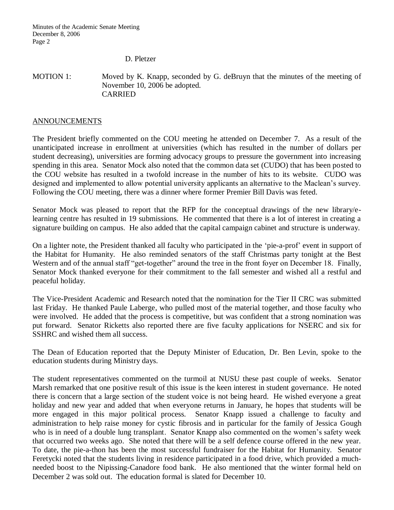D. Pletzer

MOTION 1: Moved by K. Knapp, seconded by G. deBruyn that the minutes of the meeting of November 10, 2006 be adopted. CARRIED

#### **ANNOUNCEMENTS**

The President briefly commented on the COU meeting he attended on December 7. As a result of the unanticipated increase in enrollment at universities (which has resulted in the number of dollars per student decreasing), universities are forming advocacy groups to pressure the government into increasing spending in this area. Senator Mock also noted that the common data set (CUDO) that has been posted to the COU website has resulted in a twofold increase in the number of hits to its website. CUDO was designed and implemented to allow potential university applicants an alternative to the Maclean's survey. Following the COU meeting, there was a dinner where former Premier Bill Davis was feted.

Senator Mock was pleased to report that the RFP for the conceptual drawings of the new library/elearning centre has resulted in 19 submissions. He commented that there is a lot of interest in creating a signature building on campus. He also added that the capital campaign cabinet and structure is underway.

On a lighter note, the President thanked all faculty who participated in the 'pie-a-prof' event in support of the Habitat for Humanity. He also reminded senators of the staff Christmas party tonight at the Best Western and of the annual staff "get-together" around the tree in the front foyer on December 18. Finally, Senator Mock thanked everyone for their commitment to the fall semester and wished all a restful and peaceful holiday.

The Vice-President Academic and Research noted that the nomination for the Tier II CRC was submitted last Friday. He thanked Paule Laberge, who pulled most of the material together, and those faculty who were involved. He added that the process is competitive, but was confident that a strong nomination was put forward. Senator Ricketts also reported there are five faculty applications for NSERC and six for SSHRC and wished them all success.

The Dean of Education reported that the Deputy Minister of Education, Dr. Ben Levin, spoke to the education students during Ministry days.

The student representatives commented on the turmoil at NUSU these past couple of weeks. Senator Marsh remarked that one positive result of this issue is the keen interest in student governance. He noted there is concern that a large section of the student voice is not being heard. He wished everyone a great holiday and new year and added that when everyone returns in January, he hopes that students will be more engaged in this major political process. Senator Knapp issued a challenge to faculty and administration to help raise money for cystic fibrosis and in particular for the family of Jessica Gough who is in need of a double lung transplant. Senator Knapp also commented on the women's safety week that occurred two weeks ago. She noted that there will be a self defence course offered in the new year. To date, the pie-a-thon has been the most successful fundraiser for the Habitat for Humanity. Senator Feretycki noted that the students living in residence participated in a food drive, which provided a muchneeded boost to the Nipissing-Canadore food bank. He also mentioned that the winter formal held on December 2 was sold out. The education formal is slated for December 10.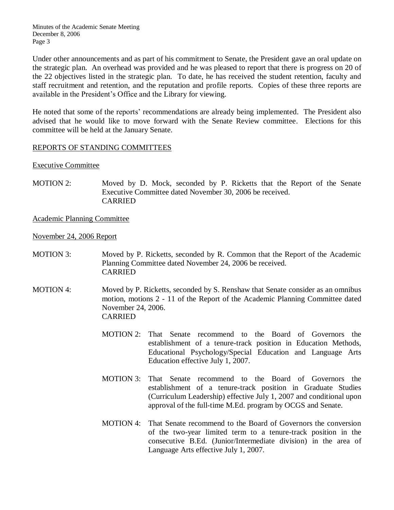Minutes of the Academic Senate Meeting December 8, 2006 Page 3

Under other announcements and as part of his commitment to Senate, the President gave an oral update on the strategic plan. An overhead was provided and he was pleased to report that there is progress on 20 of the 22 objectives listed in the strategic plan. To date, he has received the student retention, faculty and staff recruitment and retention, and the reputation and profile reports. Copies of these three reports are available in the President's Office and the Library for viewing.

He noted that some of the reports' recommendations are already being implemented. The President also advised that he would like to move forward with the Senate Review committee. Elections for this committee will be held at the January Senate.

### REPORTS OF STANDING COMMITTEES

### Executive Committee

MOTION 2: Moved by D. Mock, seconded by P. Ricketts that the Report of the Senate Executive Committee dated November 30, 2006 be received. CARRIED

Academic Planning Committee

November 24, 2006 Report

- MOTION 3: Moved by P. Ricketts, seconded by R. Common that the Report of the Academic Planning Committee dated November 24, 2006 be received. CARRIED
- MOTION 4: Moved by P. Ricketts, seconded by S. Renshaw that Senate consider as an omnibus motion, motions 2 - 11 of the Report of the Academic Planning Committee dated November 24, 2006. CARRIED
	- MOTION 2: That Senate recommend to the Board of Governors the establishment of a tenure-track position in Education Methods, Educational Psychology/Special Education and Language Arts Education effective July 1, 2007.
	- MOTION 3: That Senate recommend to the Board of Governors the establishment of a tenure-track position in Graduate Studies (Curriculum Leadership) effective July 1, 2007 and conditional upon approval of the full-time M.Ed. program by OCGS and Senate.
	- MOTION 4: That Senate recommend to the Board of Governors the conversion of the two-year limited term to a tenure-track position in the consecutive B.Ed. (Junior/Intermediate division) in the area of Language Arts effective July 1, 2007.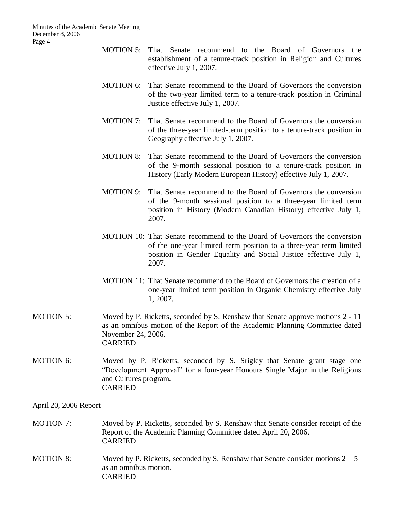- MOTION 5: That Senate recommend to the Board of Governors the establishment of a tenure-track position in Religion and Cultures effective July 1, 2007.
- MOTION 6: That Senate recommend to the Board of Governors the conversion of the two-year limited term to a tenure-track position in Criminal Justice effective July 1, 2007.
- MOTION 7: That Senate recommend to the Board of Governors the conversion of the three-year limited-term position to a tenure-track position in Geography effective July 1, 2007.
- MOTION 8: That Senate recommend to the Board of Governors the conversion of the 9-month sessional position to a tenure-track position in History (Early Modern European History) effective July 1, 2007.
- MOTION 9: That Senate recommend to the Board of Governors the conversion of the 9-month sessional position to a three-year limited term position in History (Modern Canadian History) effective July 1, 2007.
- MOTION 10: That Senate recommend to the Board of Governors the conversion of the one-year limited term position to a three-year term limited position in Gender Equality and Social Justice effective July 1, 2007.
- MOTION 11: That Senate recommend to the Board of Governors the creation of a one-year limited term position in Organic Chemistry effective July 1, 2007.
- MOTION 5: Moved by P. Ricketts, seconded by S. Renshaw that Senate approve motions 2 11 as an omnibus motion of the Report of the Academic Planning Committee dated November 24, 2006. CARRIED
- MOTION 6: Moved by P. Ricketts, seconded by S. Srigley that Senate grant stage one "Development Approval" for a four-year Honours Single Major in the Religions and Cultures program. CARRIED

#### April 20, 2006 Report

- MOTION 7: Moved by P. Ricketts, seconded by S. Renshaw that Senate consider receipt of the Report of the Academic Planning Committee dated April 20, 2006. CARRIED
- MOTION 8: Moved by P. Ricketts, seconded by S. Renshaw that Senate consider motions  $2-5$ as an omnibus motion. CARRIED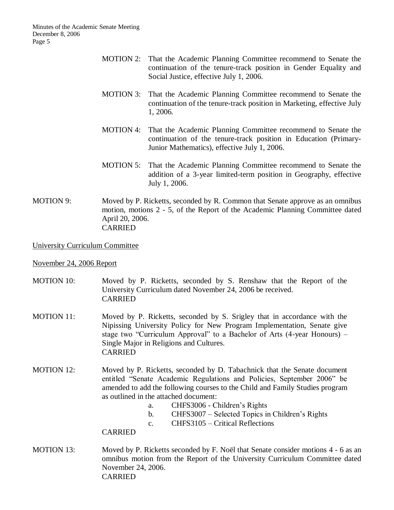- MOTION 2: That the Academic Planning Committee recommend to Senate the continuation of the tenure-track position in Gender Equality and Social Justice, effective July 1, 2006.
- MOTION 3: That the Academic Planning Committee recommend to Senate the continuation of the tenure-track position in Marketing, effective July 1, 2006.
- MOTION 4: That the Academic Planning Committee recommend to Senate the continuation of the tenure-track position in Education (Primary-Junior Mathematics), effective July 1, 2006.
- MOTION 5: That the Academic Planning Committee recommend to Senate the addition of a 3-year limited-term position in Geography, effective July 1, 2006.
- MOTION 9: Moved by P. Ricketts, seconded by R. Common that Senate approve as an omnibus motion, motions 2 - 5, of the Report of the Academic Planning Committee dated April 20, 2006. CARRIED

University Curriculum Committee

#### November 24, 2006 Report

- MOTION 10: Moved by P. Ricketts, seconded by S. Renshaw that the Report of the University Curriculum dated November 24, 2006 be received. CARRIED
- MOTION 11: Moved by P. Ricketts, seconded by S. Srigley that in accordance with the Nipissing University Policy for New Program Implementation, Senate give stage two "Curriculum Approval" to a Bachelor of Arts (4-year Honours) – Single Major in Religions and Cultures. CARRIED
- MOTION 12: Moved by P. Ricketts, seconded by D. Tabachnick that the Senate document entitled "Senate Academic Regulations and Policies, September 2006" be amended to add the following courses to the Child and Family Studies program as outlined in the attached document:
	- a. CHFS3006 Children's Rights
	- b. CHFS3007 Selected Topics in Children's Rights
	- c. CHFS3105 Critical Reflections

CARRIED

MOTION 13: Moved by P. Ricketts seconded by F. Noël that Senate consider motions 4 - 6 as an omnibus motion from the Report of the University Curriculum Committee dated November 24, 2006. CARRIED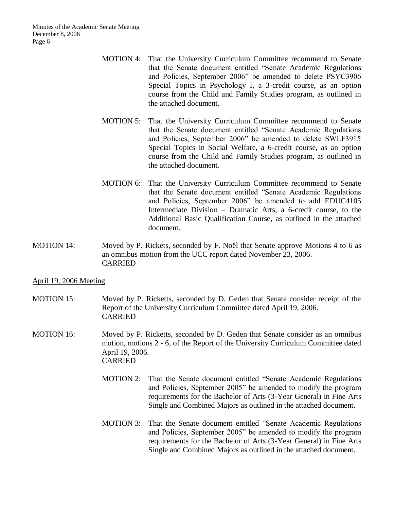- MOTION 4: That the University Curriculum Committee recommend to Senate that the Senate document entitled "Senate Academic Regulations and Policies, September 2006" be amended to delete PSYC3906 Special Topics in Psychology I, a 3-credit course, as an option course from the Child and Family Studies program, as outlined in the attached document.
- MOTION 5: That the University Curriculum Committee recommend to Senate that the Senate document entitled "Senate Academic Regulations and Policies, September 2006" be amended to delete SWLF3915 Special Topics in Social Welfare, a 6-credit course, as an option course from the Child and Family Studies program, as outlined in the attached document.
- MOTION 6: That the University Curriculum Committee recommend to Senate that the Senate document entitled "Senate Academic Regulations and Policies, September 2006" be amended to add EDUC4105 Intermediate Division – Dramatic Arts, a 6-credit course, to the Additional Basic Qualification Course, as outlined in the attached document.
- MOTION 14: Moved by P. Rickets, seconded by F. Noël that Senate approve Motions 4 to 6 as an omnibus motion from the UCC report dated November 23, 2006. CARRIED

### April 19, 2006 Meeting

- MOTION 15: Moved by P. Ricketts, seconded by D. Geden that Senate consider receipt of the Report of the University Curriculum Committee dated April 19, 2006. CARRIED
- MOTION 16: Moved by P. Ricketts, seconded by D. Geden that Senate consider as an omnibus motion, motions 2 - 6, of the Report of the University Curriculum Committee dated April 19, 2006. CARRIED
	- MOTION 2: That the Senate document entitled "Senate Academic Regulations and Policies, September 2005" be amended to modify the program requirements for the Bachelor of Arts (3-Year General) in Fine Arts Single and Combined Majors as outlined in the attached document.
	- MOTION 3: That the Senate document entitled "Senate Academic Regulations and Policies, September 2005" be amended to modify the program requirements for the Bachelor of Arts (3-Year General) in Fine Arts Single and Combined Majors as outlined in the attached document.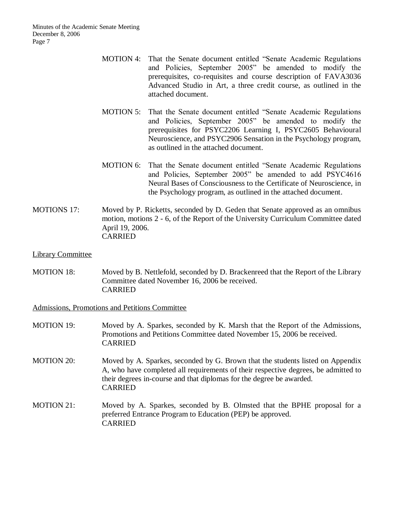- MOTION 4: That the Senate document entitled "Senate Academic Regulations and Policies, September 2005" be amended to modify the prerequisites, co-requisites and course description of FAVA3036 Advanced Studio in Art, a three credit course, as outlined in the attached document.
- MOTION 5: That the Senate document entitled "Senate Academic Regulations and Policies, September 2005" be amended to modify the prerequisites for PSYC2206 Learning I, PSYC2605 Behavioural Neuroscience, and PSYC2906 Sensation in the Psychology program, as outlined in the attached document.
- MOTION 6: That the Senate document entitled "Senate Academic Regulations and Policies, September 2005" be amended to add PSYC4616 Neural Bases of Consciousness to the Certificate of Neuroscience, in the Psychology program, as outlined in the attached document.
- MOTIONS 17: Moved by P. Ricketts, seconded by D. Geden that Senate approved as an omnibus motion, motions 2 - 6, of the Report of the University Curriculum Committee dated April 19, 2006. CARRIED

#### Library Committee

MOTION 18: Moved by B. Nettlefold, seconded by D. Brackenreed that the Report of the Library Committee dated November 16, 2006 be received. CARRIED

Admissions, Promotions and Petitions Committee

- MOTION 19: Moved by A. Sparkes, seconded by K. Marsh that the Report of the Admissions, Promotions and Petitions Committee dated November 15, 2006 be received. CARRIED
- MOTION 20: Moved by A. Sparkes, seconded by G. Brown that the students listed on Appendix A, who have completed all requirements of their respective degrees, be admitted to their degrees in-course and that diplomas for the degree be awarded. CARRIED
- MOTION 21: Moved by A. Sparkes, seconded by B. Olmsted that the BPHE proposal for a preferred Entrance Program to Education (PEP) be approved. CARRIED